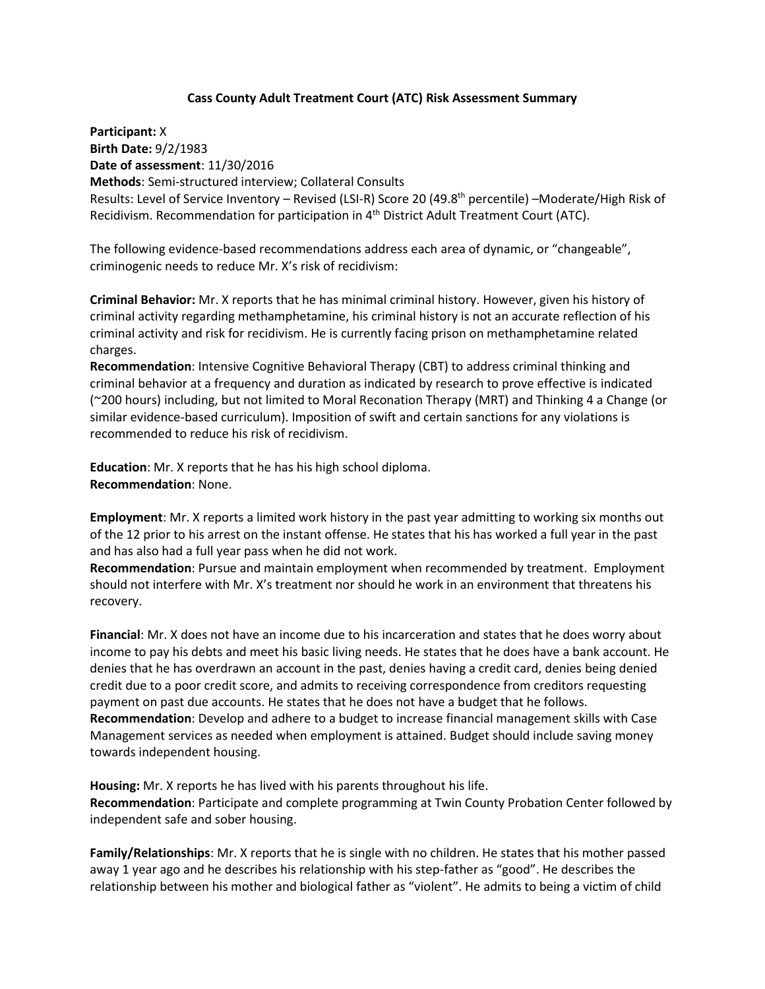## **Cass County Adult Treatment Court (ATC) Risk Assessment Summary**

**Participant:** X **Birth Date:** 9/2/1983 **Date of assessment**: 11/30/2016 **Methods**: Semi-structured interview; Collateral Consults Results: Level of Service Inventory – Revised (LSI-R) Score 20 (49.8th percentile) –Moderate/High Risk of Recidivism. Recommendation for participation in 4th District Adult Treatment Court (ATC).

The following evidence-based recommendations address each area of dynamic, or "changeable", criminogenic needs to reduce Mr. X's risk of recidivism:

**Criminal Behavior:** Mr. X reports that he has minimal criminal history. However, given his history of criminal activity regarding methamphetamine, his criminal history is not an accurate reflection of his criminal activity and risk for recidivism. He is currently facing prison on methamphetamine related charges.

**Recommendation**: Intensive Cognitive Behavioral Therapy (CBT) to address criminal thinking and criminal behavior at a frequency and duration as indicated by research to prove effective is indicated (~200 hours) including, but not limited to Moral Reconation Therapy (MRT) and Thinking 4 a Change (or similar evidence-based curriculum). Imposition of swift and certain sanctions for any violations is recommended to reduce his risk of recidivism.

**Education**: Mr. X reports that he has his high school diploma. **Recommendation**: None.

**Employment**: Mr. X reports a limited work history in the past year admitting to working six months out of the 12 prior to his arrest on the instant offense. He states that his has worked a full year in the past and has also had a full year pass when he did not work.

**Recommendation**: Pursue and maintain employment when recommended by treatment. Employment should not interfere with Mr. X's treatment nor should he work in an environment that threatens his recovery.

**Financial**: Mr. X does not have an income due to his incarceration and states that he does worry about income to pay his debts and meet his basic living needs. He states that he does have a bank account. He denies that he has overdrawn an account in the past, denies having a credit card, denies being denied credit due to a poor credit score, and admits to receiving correspondence from creditors requesting payment on past due accounts. He states that he does not have a budget that he follows. **Recommendation**: Develop and adhere to a budget to increase financial management skills with Case Management services as needed when employment is attained. Budget should include saving money towards independent housing.

**Housing:** Mr. X reports he has lived with his parents throughout his life. **Recommendation**: Participate and complete programming at Twin County Probation Center followed by independent safe and sober housing.

**Family/Relationships**: Mr. X reports that he is single with no children. He states that his mother passed away 1 year ago and he describes his relationship with his step-father as "good". He describes the relationship between his mother and biological father as "violent". He admits to being a victim of child